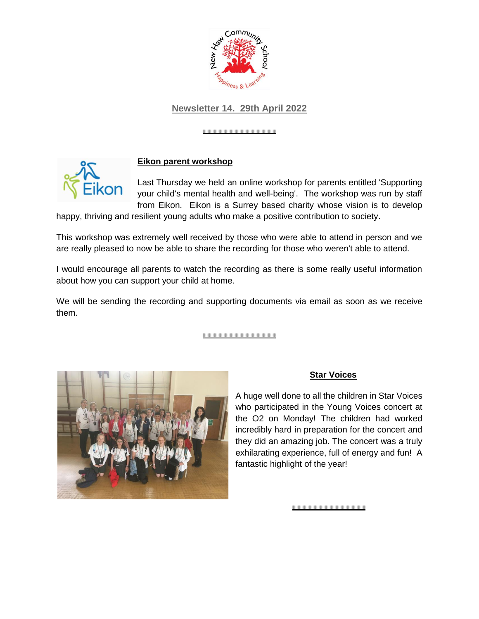

# **Newsletter 14. 29th April 2022**

#### ............



### **Eikon parent workshop**

Last Thursday we held an online workshop for parents entitled 'Supporting your child's mental health and well-being'. The workshop was run by staff from Eikon. Eikon is a Surrey based charity whose vision is to develop

happy, thriving and resilient young adults who make a positive contribution to society.

This workshop was extremely well received by those who were able to attend in person and we are really pleased to now be able to share the recording for those who weren't able to attend.

I would encourage all parents to watch the recording as there is some really useful information about how you can support your child at home.

We will be sending the recording and supporting documents via email as soon as we receive them.

.............



### **Star Voices**

A huge well done to all the children in Star Voices who participated in the Young Voices concert at the O2 on Monday! The children had worked incredibly hard in preparation for the concert and they did an amazing job. The concert was a truly exhilarating experience, full of energy and fun! A fantastic highlight of the year!

<u>..............</u>